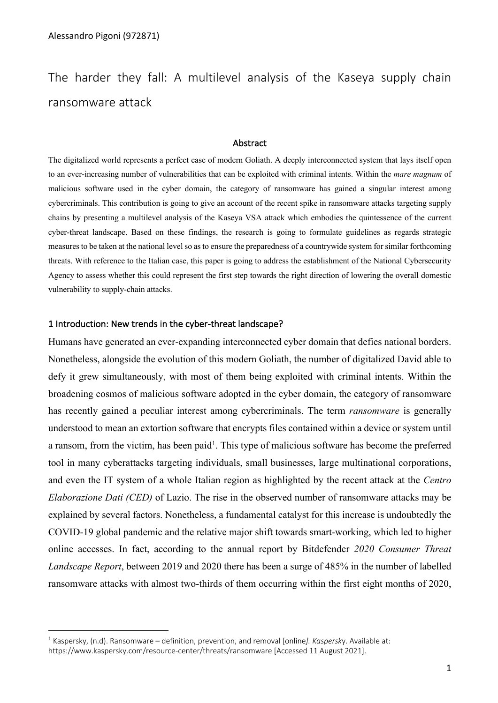The harder they fall: A multilevel analysis of the Kaseya supply chain ransomware attack

#### **Abstract**

The digitalized world represents a perfect case of modern Goliath. A deeply interconnected system that lays itself open to an ever-increasing number of vulnerabilities that can be exploited with criminal intents. Within the *mare magnum* of malicious software used in the cyber domain, the category of ransomware has gained a singular interest among cybercriminals. This contribution is going to give an account of the recent spike in ransomware attacks targeting supply chains by presenting a multilevel analysis of the Kaseya VSA attack which embodies the quintessence of the current cyber-threat landscape. Based on these findings, the research is going to formulate guidelines as regards strategic measures to be taken at the national level so as to ensure the preparedness of a countrywide system for similar forthcoming threats. With reference to the Italian case, this paper is going to address the establishment of the National Cybersecurity Agency to assess whether this could represent the first step towards the right direction of lowering the overall domestic vulnerability to supply-chain attacks.

### 1 Introduction: New trends in the cyber-threat landscape?

Humans have generated an ever-expanding interconnected cyber domain that defies national borders. Nonetheless, alongside the evolution of this modern Goliath, the number of digitalized David able to defy it grew simultaneously, with most of them being exploited with criminal intents. Within the broadening cosmos of malicious software adopted in the cyber domain, the category of ransomware has recently gained a peculiar interest among cybercriminals. The term *ransomware* is generally understood to mean an extortion software that encrypts files contained within a device or system until a ransom, from the victim, has been paid<sup>1</sup>. This type of malicious software has become the preferred tool in many cyberattacks targeting individuals, small businesses, large multinational corporations, and even the IT system of a whole Italian region as highlighted by the recent attack at the *Centro Elaborazione Dati (CED)* of Lazio. The rise in the observed number of ransomware attacks may be explained by several factors. Nonetheless, a fundamental catalyst for this increase is undoubtedly the COVID-19 global pandemic and the relative major shift towards smart-working, which led to higher online accesses. In fact, according to the annual report by Bitdefender *2020 Consumer Threat Landscape Report*, between 2019 and 2020 there has been a surge of 485% in the number of labelled ransomware attacks with almost two-thirds of them occurring within the first eight months of 2020,

<sup>1</sup> Kaspersky, (n.d). Ransomware – definition, prevention, and removal [online*]. Kaspersk*y. Available at: https://www.kaspersky.com/resource-center/threats/ransomware [Accessed 11 August 2021].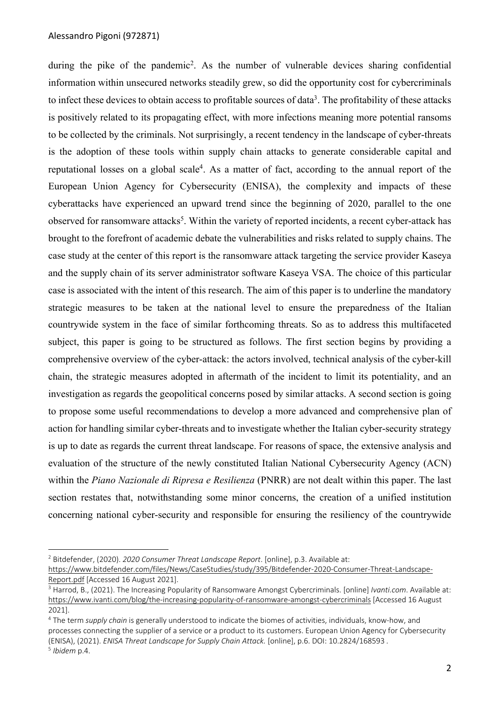during the pike of the pandemic<sup>2</sup>. As the number of vulnerable devices sharing confidential information within unsecured networks steadily grew, so did the opportunity cost for cybercriminals to infect these devices to obtain access to profitable sources of data<sup>3</sup>. The profitability of these attacks is positively related to its propagating effect, with more infections meaning more potential ransoms to be collected by the criminals. Not surprisingly, a recent tendency in the landscape of cyber-threats is the adoption of these tools within supply chain attacks to generate considerable capital and reputational losses on a global scale<sup>4</sup>. As a matter of fact, according to the annual report of the European Union Agency for Cybersecurity (ENISA), the complexity and impacts of these cyberattacks have experienced an upward trend since the beginning of 2020, parallel to the one observed for ransomware attacks<sup>5</sup>. Within the variety of reported incidents, a recent cyber-attack has brought to the forefront of academic debate the vulnerabilities and risks related to supply chains. The case study at the center of this report is the ransomware attack targeting the service provider Kaseya and the supply chain of its server administrator software Kaseya VSA. The choice of this particular case is associated with the intent of this research. The aim of this paper is to underline the mandatory strategic measures to be taken at the national level to ensure the preparedness of the Italian countrywide system in the face of similar forthcoming threats. So as to address this multifaceted subject, this paper is going to be structured as follows. The first section begins by providing a comprehensive overview of the cyber-attack: the actors involved, technical analysis of the cyber-kill chain, the strategic measures adopted in aftermath of the incident to limit its potentiality, and an investigation as regards the geopolitical concerns posed by similar attacks. A second section is going to propose some useful recommendations to develop a more advanced and comprehensive plan of action for handling similar cyber-threats and to investigate whether the Italian cyber-security strategy is up to date as regards the current threat landscape. For reasons of space, the extensive analysis and evaluation of the structure of the newly constituted Italian National Cybersecurity Agency (ACN) within the *Piano Nazionale di Ripresa e Resilienza* (PNRR) are not dealt within this paper. The last section restates that, notwithstanding some minor concerns, the creation of a unified institution concerning national cyber-security and responsible for ensuring the resiliency of the countrywide

<sup>4</sup> The term *supply chain* is generally understood to indicate the biomes of activities, individuals, know-how, and processes connecting the supplier of a service or a product to its customers. European Union Agency for Cybersecurity (ENISA), (2021). *ENISA Threat Landscape for Supply Chain Attack.* [online], p.6. DOI: 10.2824/168593 *.*

<sup>2</sup> Bitdefender, (2020). *2020 Consumer Threat Landscape Report*. [online], p.3. Available at:

https://www.bitdefender.com/files/News/CaseStudies/study/395/Bitdefender-2020-Consumer-Threat-Landscape-Report.pdf [Accessed 16 August 2021].

<sup>3</sup> Harrod, B., (2021). The Increasing Popularity of Ransomware Amongst Cybercriminals. [online] *Ivanti.com*. Available at: https://www.ivanti.com/blog/the-increasing-popularity-of-ransomware-amongst-cybercriminals [Accessed 16 August 2021].

<sup>5</sup> *Ibidem* p.4.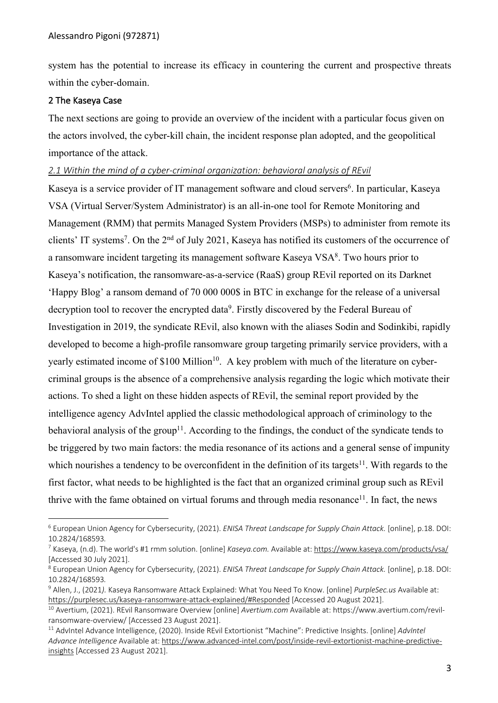system has the potential to increase its efficacy in countering the current and prospective threats within the cyber-domain.

## 2 The Kaseya Case

The next sections are going to provide an overview of the incident with a particular focus given on the actors involved, the cyber-kill chain, the incident response plan adopted, and the geopolitical importance of the attack.

# *2.1 Within the mind of a cyber-criminal organization: behavioral analysis of REvil*

Kaseya is a service provider of IT management software and cloud servers<sup>6</sup>. In particular, Kaseya VSA (Virtual Server/System Administrator) is an all-in-one tool for Remote Monitoring and Management (RMM) that permits Managed System Providers (MSPs) to administer from remote its clients' IT systems<sup>7</sup>. On the 2<sup>nd</sup> of July 2021, Kaseya has notified its customers of the occurrence of a ransomware incident targeting its management software Kaseya VSA<sup>8</sup>. Two hours prior to Kaseya's notification, the ransomware-as-a-service (RaaS) group REvil reported on its Darknet 'Happy Blog' a ransom demand of 70 000 000\$ in BTC in exchange for the release of a universal decryption tool to recover the encrypted data<sup>9</sup>. Firstly discovered by the Federal Bureau of Investigation in 2019, the syndicate REvil, also known with the aliases Sodin and Sodinkibi, rapidly developed to become a high-profile ransomware group targeting primarily service providers, with a yearly estimated income of \$100 Million<sup>10</sup>. A key problem with much of the literature on cybercriminal groups is the absence of a comprehensive analysis regarding the logic which motivate their actions. To shed a light on these hidden aspects of REvil, the seminal report provided by the intelligence agency AdvIntel applied the classic methodological approach of criminology to the behavioral analysis of the group<sup>11</sup>. According to the findings, the conduct of the syndicate tends to be triggered by two main factors: the media resonance of its actions and a general sense of impunity which nourishes a tendency to be overconfident in the definition of its targets<sup>11</sup>. With regards to the first factor, what needs to be highlighted is the fact that an organized criminal group such as REvil thrive with the fame obtained on virtual forums and through media resonance<sup>11</sup>. In fact, the news

<sup>6</sup> European Union Agency for Cybersecurity, (2021). *ENISA Threat Landscape for Supply Chain Attack.* [online], p.18. DOI: 10.2824/168593*.*

<sup>7</sup> Kaseya, (n.d). The world's #1 rmm solution. [online] *Kaseya.com.* Available at: https://www.kaseya.com/products/vsa/ [Accessed 30 July 2021].

<sup>8</sup> European Union Agency for Cybersecurity, (2021). *ENISA Threat Landscape for Supply Chain Attack.* [online], p.18. DOI: 10.2824/168593*.*

<sup>9</sup> Allen, J., (2021*).* Kaseya Ransomware Attack Explained: What You Need To Know. [online] *PurpleSec.us* Available at: https://purplesec.us/kaseya-ransomware-attack-explained/#Responded [Accessed 20 August 2021].

<sup>10</sup> Avertium, (2021). REvil Ransomware Overview [online] *Avertium.com* Available at: https://www.avertium.com/revilransomware-overview/ [Accessed 23 August 2021].

<sup>11</sup> AdvIntel Advance Intelligence, (2020). Inside REvil Extortionist "Machine": Predictive Insights. [online] *AdvIntel Advance Intelligence* Available at: https://www.advanced-intel.com/post/inside-revil-extortionist-machine-predictiveinsights [Accessed 23 August 2021].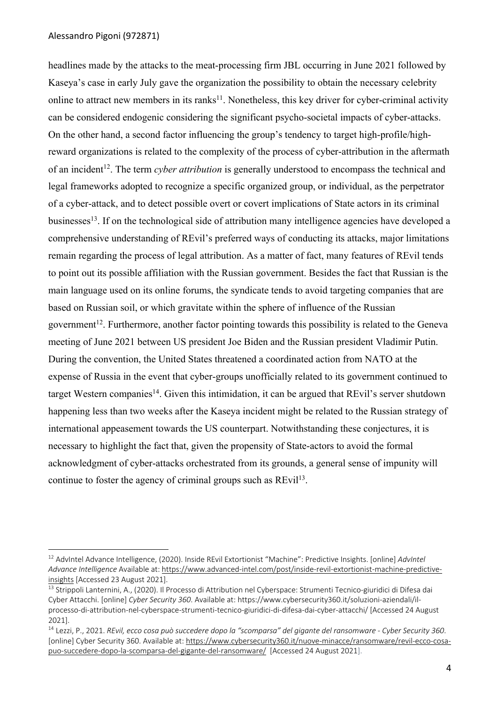headlines made by the attacks to the meat-processing firm JBL occurring in June 2021 followed by Kaseya's case in early July gave the organization the possibility to obtain the necessary celebrity online to attract new members in its ranks<sup>11</sup>. Nonetheless, this key driver for cyber-criminal activity can be considered endogenic considering the significant psycho-societal impacts of cyber-attacks. On the other hand, a second factor influencing the group's tendency to target high-profile/highreward organizations is related to the complexity of the process of cyber-attribution in the aftermath of an incident<sup>12</sup>. The term *cyber attribution* is generally understood to encompass the technical and legal frameworks adopted to recognize a specific organized group, or individual, as the perpetrator of a cyber-attack, and to detect possible overt or covert implications of State actors in its criminal businesses<sup>13</sup>. If on the technological side of attribution many intelligence agencies have developed a comprehensive understanding of REvil's preferred ways of conducting its attacks, major limitations remain regarding the process of legal attribution. As a matter of fact, many features of REvil tends to point out its possible affiliation with the Russian government. Besides the fact that Russian is the main language used on its online forums, the syndicate tends to avoid targeting companies that are based on Russian soil, or which gravitate within the sphere of influence of the Russian government<sup>12</sup>. Furthermore, another factor pointing towards this possibility is related to the Geneva meeting of June 2021 between US president Joe Biden and the Russian president Vladimir Putin. During the convention, the United States threatened a coordinated action from NATO at the expense of Russia in the event that cyber-groups unofficially related to its government continued to target Western companies<sup>14</sup>. Given this intimidation, it can be argued that REvil's server shutdown happening less than two weeks after the Kaseya incident might be related to the Russian strategy of international appeasement towards the US counterpart. Notwithstanding these conjectures, it is necessary to highlight the fact that, given the propensity of State-actors to avoid the formal acknowledgment of cyber-attacks orchestrated from its grounds, a general sense of impunity will continue to foster the agency of criminal groups such as  $REvil<sup>13</sup>$ .

<sup>12</sup> AdvIntel Advance Intelligence, (2020). Inside REvil Extortionist "Machine": Predictive Insights. [online] *AdvIntel Advance Intelligence* Available at: https://www.advanced-intel.com/post/inside-revil-extortionist-machine-predictiveinsights [Accessed 23 August 2021].

<sup>&</sup>lt;sup>13</sup> Strippoli Lanternini, A., (2020). Il Processo di Attribution nel Cyberspace: Strumenti Tecnico-giuridici di Difesa dai Cyber Attacchi. [online] *Cyber Security 360*. Available at: https://www.cybersecurity360.it/soluzioni-aziendali/ilprocesso-di-attribution-nel-cyberspace-strumenti-tecnico-giuridici-di-difesa-dai-cyber-attacchi/ [Accessed 24 August 2021].

<sup>14</sup> Lezzi, P., 2021. *REvil, ecco cosa può succedere dopo la "scomparsa" del gigante del ransomware - Cyber Security 360*. [online] Cyber Security 360. Available at: https://www.cybersecurity360.it/nuove-minacce/ransomware/revil-ecco-cosapuo-succedere-dopo-la-scomparsa-del-gigante-del-ransomware/ [Accessed 24 August 2021].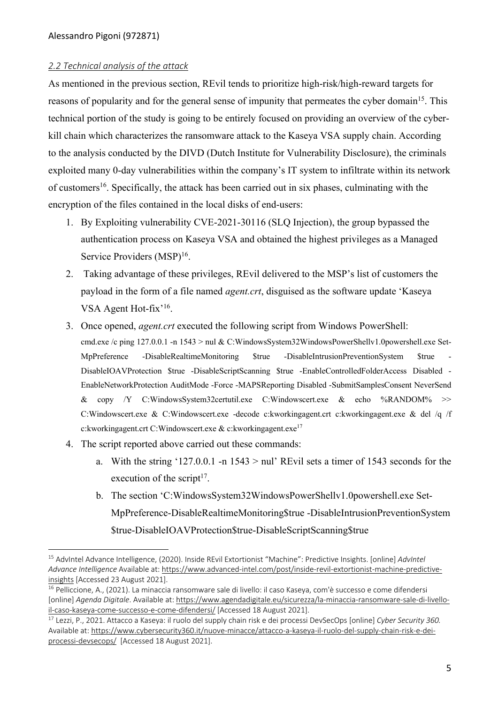### *2.2 Technical analysis of the attack*

As mentioned in the previous section, REvil tends to prioritize high-risk/high-reward targets for reasons of popularity and for the general sense of impunity that permeates the cyber domain<sup>15</sup>. This technical portion of the study is going to be entirely focused on providing an overview of the cyberkill chain which characterizes the ransomware attack to the Kaseya VSA supply chain. According to the analysis conducted by the DIVD (Dutch Institute for Vulnerability Disclosure), the criminals exploited many 0-day vulnerabilities within the company's IT system to infiltrate within its network of customers<sup>16</sup>. Specifically, the attack has been carried out in six phases, culminating with the encryption of the files contained in the local disks of end-users:

- 1. By Exploiting vulnerability CVE-2021-30116 (SLQ Injection), the group bypassed the authentication process on Kaseya VSA and obtained the highest privileges as a Managed Service Providers (MSP)<sup>16</sup>.
- 2. Taking advantage of these privileges, REvil delivered to the MSP's list of customers the payload in the form of a file named *agent.crt*, disguised as the software update 'Kaseya VSA Agent Hot-fix'<sup>16</sup>.
- 3. Once opened, *agent.crt* executed the following script from Windows PowerShell: cmd.exe /c ping 127.0.0.1 -n 1543 > nul & C:WindowsSystem32WindowsPowerShellv1.0powershell.exe Set-MpPreference -DisableRealtimeMonitoring \$true -DisableIntrusionPreventionSystem \$true - DisableIOAVProtection \$true -DisableScriptScanning \$true -EnableControlledFolderAccess Disabled - EnableNetworkProtection AuditMode -Force -MAPSReporting Disabled -SubmitSamplesConsent NeverSend & copy /Y C:WindowsSystem32certutil.exe C:Windowscert.exe & echo %RANDOM% >> C:Windowscert.exe & C:Windowscert.exe -decode c:kworkingagent.crt c:kworkingagent.exe & del /q /f c:kworkingagent.crt C:Windowscert.exe & c:kworkingagent.exe<sup>17</sup>
- 4. The script reported above carried out these commands:
	- a. With the string '127.0.0.1 -n  $1543 > \text{null}$ ' REvil sets a timer of 1543 seconds for the execution of the script $17$ .
	- b. The section 'C:WindowsSystem32WindowsPowerShellv1.0powershell.exe Set-MpPreference-DisableRealtimeMonitoring\$true -DisableIntrusionPreventionSystem \$true-DisableIOAVProtection\$true-DisableScriptScanning\$true

<sup>15</sup> AdvIntel Advance Intelligence, (2020). Inside REvil Extortionist "Machine": Predictive Insights. [online] *AdvIntel Advance Intelligence* Available at: https://www.advanced-intel.com/post/inside-revil-extortionist-machine-predictiveinsights [Accessed 23 August 2021].

<sup>&</sup>lt;sup>16</sup> Pelliccione, A., (2021). La minaccia ransomware sale di livello: il caso Kaseya, com'è successo e come difendersi [online] *Agenda Digitale*. Available at: https://www.agendadigitale.eu/sicurezza/la-minaccia-ransomware-sale-di-livelloil-caso-kaseya-come-successo-e-come-difendersi/ [Accessed 18 August 2021].

<sup>17</sup> Lezzi, P., 2021. Attacco a Kaseya: il ruolo del supply chain risk e dei processi DevSecOps [online] *Cyber Security 360.* Available at: https://www.cybersecurity360.it/nuove-minacce/attacco-a-kaseya-il-ruolo-del-supply-chain-risk-e-deiprocessi-devsecops/ [Accessed 18 August 2021].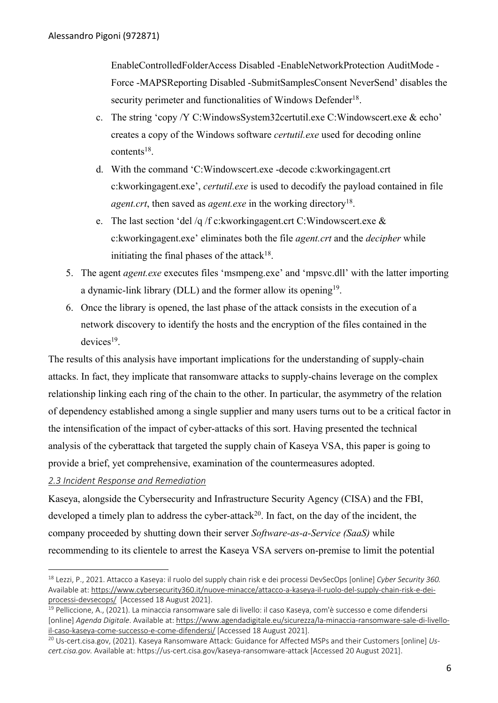EnableControlledFolderAccess Disabled -EnableNetworkProtection AuditMode - Force -MAPSReporting Disabled -SubmitSamplesConsent NeverSend' disables the security perimeter and functionalities of Windows Defender<sup>18</sup>.

- c. The string 'copy /Y C:WindowsSystem32certutil.exe C:Windowscert.exe & echo' creates a copy of the Windows software *certutil.exe* used for decoding online  $contents<sup>18</sup>$ .
- d. With the command 'C:Windowscert.exe -decode c:kworkingagent.crt c:kworkingagent.exe', *certutil.exe* is used to decodify the payload contained in file *agent.crt*, then saved as *agent.exe* in the working directory<sup>18</sup>.
- e. The last section 'del /q /f c: kworking agent.crt C: Windows cert.exe  $\&$ c:kworkingagent.exe' eliminates both the file *agent.crt* and the *decipher* while initiating the final phases of the attack $18$ .
- 5. The agent *agent.exe* executes files 'msmpeng.exe' and 'mpsvc.dll' with the latter importing a dynamic-link library (DLL) and the former allow its opening<sup>19</sup>.
- 6. Once the library is opened, the last phase of the attack consists in the execution of a network discovery to identify the hosts and the encryption of the files contained in the  $devices<sup>19</sup>$ .

The results of this analysis have important implications for the understanding of supply-chain attacks. In fact, they implicate that ransomware attacks to supply-chains leverage on the complex relationship linking each ring of the chain to the other. In particular, the asymmetry of the relation of dependency established among a single supplier and many users turns out to be a critical factor in the intensification of the impact of cyber-attacks of this sort. Having presented the technical analysis of the cyberattack that targeted the supply chain of Kaseya VSA, this paper is going to provide a brief, yet comprehensive, examination of the countermeasures adopted.

# *2.3 Incident Response and Remediation*

Kaseya, alongside the Cybersecurity and Infrastructure Security Agency (CISA) and the FBI, developed a timely plan to address the cyber-attack<sup>20</sup>. In fact, on the day of the incident, the company proceeded by shutting down their server *Software-as-a-Service (SaaS)* while recommending to its clientele to arrest the Kaseya VSA servers on-premise to limit the potential

<sup>18</sup> Lezzi, P., 2021. Attacco a Kaseya: il ruolo del supply chain risk e dei processi DevSecOps [online] *Cyber Security 360.* Available at: https://www.cybersecurity360.it/nuove-minacce/attacco-a-kaseya-il-ruolo-del-supply-chain-risk-e-deiprocessi-devsecops/ [Accessed 18 August 2021].

<sup>&</sup>lt;sup>19</sup> Pelliccione, A., (2021). La minaccia ransomware sale di livello: il caso Kaseya, com'è successo e come difendersi [online] *Agenda Digitale*. Available at: https://www.agendadigitale.eu/sicurezza/la-minaccia-ransomware-sale-di-livelloil-caso-kaseya-come-successo-e-come-difendersi/ [Accessed 18 August 2021].

<sup>20</sup> Us-cert.cisa.gov, (2021). Kaseya Ransomware Attack: Guidance for Affected MSPs and their Customers [online] *Uscert.cisa.gov.* Available at: https://us-cert.cisa.gov/kaseya-ransomware-attack [Accessed 20 August 2021].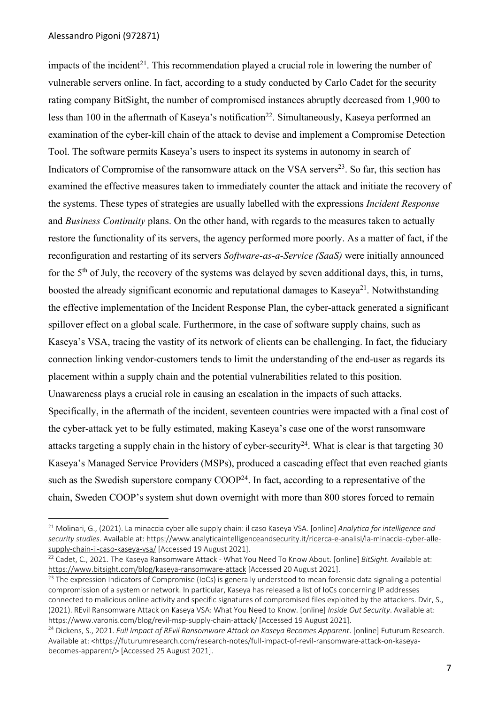impacts of the incident<sup>21</sup>. This recommendation played a crucial role in lowering the number of vulnerable servers online. In fact, according to a study conducted by Carlo Cadet for the security rating company BitSight, the number of compromised instances abruptly decreased from 1,900 to less than 100 in the aftermath of Kaseya's notification<sup>22</sup>. Simultaneously, Kaseya performed an examination of the cyber-kill chain of the attack to devise and implement a Compromise Detection Tool. The software permits Kaseya's users to inspect its systems in autonomy in search of Indicators of Compromise of the ransomware attack on the VSA servers $^{23}$ . So far, this section has examined the effective measures taken to immediately counter the attack and initiate the recovery of the systems. These types of strategies are usually labelled with the expressions *Incident Response* and *Business Continuity* plans. On the other hand, with regards to the measures taken to actually restore the functionality of its servers, the agency performed more poorly. As a matter of fact, if the reconfiguration and restarting of its servers *Software-as-a-Service (SaaS)* were initially announced for the 5<sup>th</sup> of July, the recovery of the systems was delayed by seven additional days, this, in turns, boosted the already significant economic and reputational damages to Kaseya<sup>21</sup>. Notwithstanding the effective implementation of the Incident Response Plan, the cyber-attack generated a significant spillover effect on a global scale. Furthermore, in the case of software supply chains, such as Kaseya's VSA, tracing the vastity of its network of clients can be challenging. In fact, the fiduciary connection linking vendor-customers tends to limit the understanding of the end-user as regards its placement within a supply chain and the potential vulnerabilities related to this position. Unawareness plays a crucial role in causing an escalation in the impacts of such attacks. Specifically, in the aftermath of the incident, seventeen countries were impacted with a final cost of the cyber-attack yet to be fully estimated, making Kaseya's case one of the worst ransomware attacks targeting a supply chain in the history of cyber-security<sup>24</sup>. What is clear is that targeting 30 Kaseya's Managed Service Providers (MSPs), produced a cascading effect that even reached giants such as the Swedish superstore company  $\text{CoOP}^{24}$ . In fact, according to a representative of the chain, Sweden COOP's system shut down overnight with more than 800 stores forced to remain

<sup>21</sup> Molinari, G., (2021). La minaccia cyber alle supply chain: il caso Kaseya VSA*.* [online] *Analytica for intelligence and security studies*. Available at: https://www.analyticaintelligenceandsecurity.it/ricerca-e-analisi/la-minaccia-cyber-allesupply-chain-il-caso-kaseya-vsa/ [Accessed 19 August 2021].

<sup>22</sup> Cadet, C., 2021. The Kaseya Ransomware Attack - What You Need To Know About. [online] *BitSight.* Available at: https://www.bitsight.com/blog/kaseya-ransomware-attack [Accessed 20 August 2021].

<sup>&</sup>lt;sup>23</sup> The expression Indicators of Compromise (IoCs) is generally understood to mean forensic data signaling a potential compromission of a system or network. In particular, Kaseya has released a list of IoCs concerning IP addresses connected to malicious online activity and specific signatures of compromised files exploited by the attackers. Dvir, S., (2021). REvil Ransomware Attack on Kaseya VSA: What You Need to Know. [online] *Inside Out Security*. Available at: https://www.varonis.com/blog/revil-msp-supply-chain-attack/ [Accessed 19 August 2021].

<sup>24</sup> Dickens, S., 2021. *Full Impact of REvil Ransomware Attack on Kaseya Becomes Apparent*. [online] Futurum Research. Available at: <https://futurumresearch.com/research-notes/full-impact-of-revil-ransomware-attack-on-kaseyabecomes-apparent/> [Accessed 25 August 2021].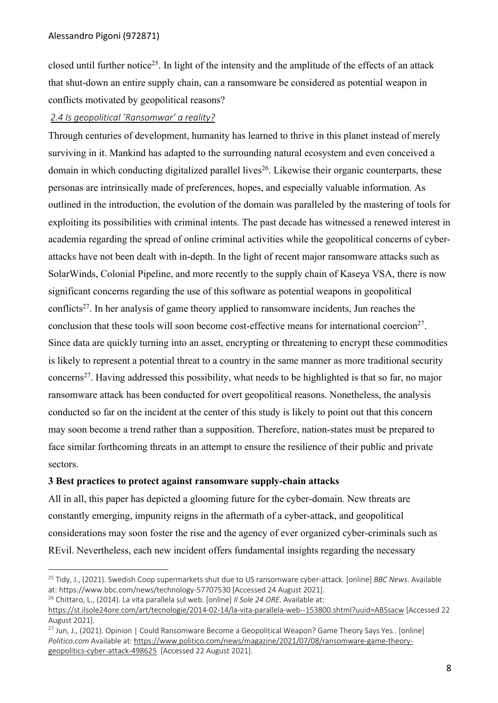closed until further notice25. In light of the intensity and the amplitude of the effects of an attack that shut-down an entire supply chain, can a ransomware be considered as potential weapon in conflicts motivated by geopolitical reasons?

# *2.4 Is geopolitical 'Ransomwar' a reality?*

Through centuries of development, humanity has learned to thrive in this planet instead of merely surviving in it. Mankind has adapted to the surrounding natural ecosystem and even conceived a domain in which conducting digitalized parallel lives<sup>26</sup>. Likewise their organic counterparts, these personas are intrinsically made of preferences, hopes, and especially valuable information. As outlined in the introduction, the evolution of the domain was paralleled by the mastering of tools for exploiting its possibilities with criminal intents. The past decade has witnessed a renewed interest in academia regarding the spread of online criminal activities while the geopolitical concerns of cyberattacks have not been dealt with in-depth. In the light of recent major ransomware attacks such as SolarWinds, Colonial Pipeline, and more recently to the supply chain of Kaseya VSA, there is now significant concerns regarding the use of this software as potential weapons in geopolitical conflicts<sup>27</sup>. In her analysis of game theory applied to ransomware incidents, Jun reaches the conclusion that these tools will soon become cost-effective means for international coercion<sup>27</sup>. Since data are quickly turning into an asset, encrypting or threatening to encrypt these commodities is likely to represent a potential threat to a country in the same manner as more traditional security concerns<sup>27</sup>. Having addressed this possibility, what needs to be highlighted is that so far, no major ransomware attack has been conducted for overt geopolitical reasons. Nonetheless, the analysis conducted so far on the incident at the center of this study is likely to point out that this concern may soon become a trend rather than a supposition. Therefore, nation-states must be prepared to face similar forthcoming threats in an attempt to ensure the resilience of their public and private sectors.

## **3 Best practices to protect against ransomware supply-chain attacks**

All in all, this paper has depicted a glooming future for the cyber-domain. New threats are constantly emerging, impunity reigns in the aftermath of a cyber-attack, and geopolitical considerations may soon foster the rise and the agency of ever organized cyber-criminals such as REvil. Nevertheless, each new incident offers fundamental insights regarding the necessary

```
26 Chittaro, L., (2014). La vita parallela sul web. [online] Il Sole 24 ORE. Available at:
```

```
https://st.ilsole24ore.com/art/tecnologie/2014-02-14/la-vita-parallela-web--153800.shtml?uuid=ABSsacw [Accessed 22 
August 2021].
```
<sup>25</sup> Tidy, J., (2021). Swedish Coop supermarkets shut due to US ransomware cyber-attack. [online] *BBC News*. Available at: https://www.bbc.com/news/technology-57707530 [Accessed 24 August 2021].

<sup>27</sup> Jun, J., (2021). Opinion | Could Ransomware Become a Geopolitical Weapon? Game Theory Says Yes*.*. [online] *Politico.com* Available at: https://www.politico.com/news/magazine/2021/07/08/ransomware-game-theorygeopolitics-cyber-attack-498625 [Accessed 22 August 2021].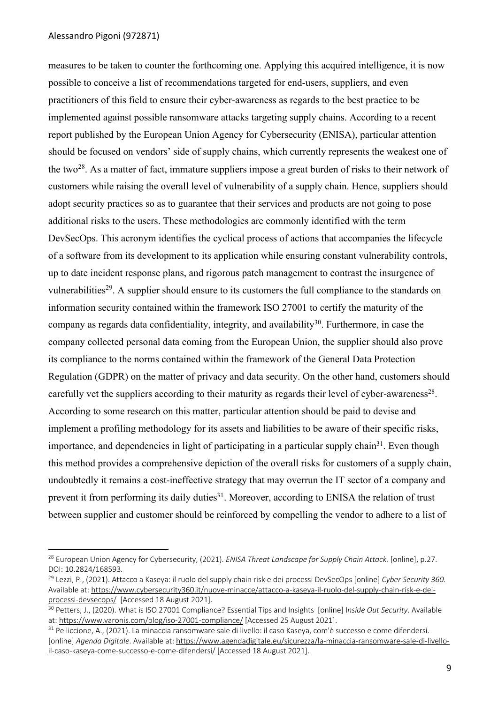### Alessandro Pigoni (972871)

measures to be taken to counter the forthcoming one. Applying this acquired intelligence, it is now possible to conceive a list of recommendations targeted for end-users, suppliers, and even practitioners of this field to ensure their cyber-awareness as regards to the best practice to be implemented against possible ransomware attacks targeting supply chains. According to a recent report published by the European Union Agency for Cybersecurity (ENISA), particular attention should be focused on vendors' side of supply chains, which currently represents the weakest one of the two<sup>28</sup>. As a matter of fact, immature suppliers impose a great burden of risks to their network of customers while raising the overall level of vulnerability of a supply chain. Hence, suppliers should adopt security practices so as to guarantee that their services and products are not going to pose additional risks to the users. These methodologies are commonly identified with the term DevSecOps. This acronym identifies the cyclical process of actions that accompanies the lifecycle of a software from its development to its application while ensuring constant vulnerability controls, up to date incident response plans, and rigorous patch management to contrast the insurgence of vulnerabilities<sup>29</sup>. A supplier should ensure to its customers the full compliance to the standards on information security contained within the framework ISO 27001 to certify the maturity of the company as regards data confidentiality, integrity, and availability<sup>30</sup>. Furthermore, in case the company collected personal data coming from the European Union, the supplier should also prove its compliance to the norms contained within the framework of the General Data Protection Regulation (GDPR) on the matter of privacy and data security. On the other hand, customers should carefully vet the suppliers according to their maturity as regards their level of cyber-awareness<sup>28</sup>. According to some research on this matter, particular attention should be paid to devise and implement a profiling methodology for its assets and liabilities to be aware of their specific risks, importance, and dependencies in light of participating in a particular supply chain<sup>31</sup>. Even though this method provides a comprehensive depiction of the overall risks for customers of a supply chain, undoubtedly it remains a cost-ineffective strategy that may overrun the IT sector of a company and prevent it from performing its daily duties<sup>31</sup>. Moreover, according to ENISA the relation of trust between supplier and customer should be reinforced by compelling the vendor to adhere to a list of

<sup>&</sup>lt;sup>28</sup> European Union Agency for Cybersecurity, (2021). *ENISA Threat Landscape for Supply Chain Attack*. [online], p.27. DOI: 10.2824/168593*.*

<sup>29</sup> Lezzi, P., (2021). Attacco a Kaseya: il ruolo del supply chain risk e dei processi DevSecOps [online] *Cyber Security 360.* Available at: https://www.cybersecurity360.it/nuove-minacce/attacco-a-kaseya-il-ruolo-del-supply-chain-risk-e-deiprocessi-devsecops/ [Accessed 18 August 2021].

<sup>30</sup> Petters, J., (2020). What is ISO 27001 Compliance? Essential Tips and Insights [online] I*nside Out Security*. Available at: https://www.varonis.com/blog/iso-27001-compliance/ [Accessed 25 August 2021].

 $31$  Pelliccione, A., (2021). La minaccia ransomware sale di livello: il caso Kaseya, com'è successo e come difendersi. [online] *Agenda Digitale*. Available at: https://www.agendadigitale.eu/sicurezza/la-minaccia-ransomware-sale-di-livelloil-caso-kaseya-come-successo-e-come-difendersi/ [Accessed 18 August 2021].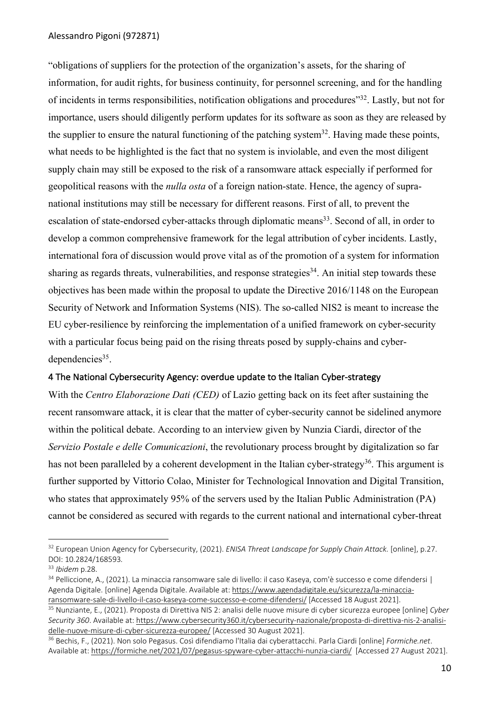"obligations of suppliers for the protection of the organization's assets, for the sharing of information, for audit rights, for business continuity, for personnel screening, and for the handling of incidents in terms responsibilities, notification obligations and procedures"32. Lastly, but not for importance, users should diligently perform updates for its software as soon as they are released by the supplier to ensure the natural functioning of the patching system<sup>32</sup>. Having made these points, what needs to be highlighted is the fact that no system is inviolable, and even the most diligent supply chain may still be exposed to the risk of a ransomware attack especially if performed for geopolitical reasons with the *nulla osta* of a foreign nation-state. Hence, the agency of supranational institutions may still be necessary for different reasons. First of all, to prevent the escalation of state-endorsed cyber-attacks through diplomatic means<sup>33</sup>. Second of all, in order to develop a common comprehensive framework for the legal attribution of cyber incidents. Lastly, international fora of discussion would prove vital as of the promotion of a system for information sharing as regards threats, vulnerabilities, and response strategies<sup>34</sup>. An initial step towards these objectives has been made within the proposal to update the Directive 2016/1148 on the European Security of Network and Information Systems (NIS). The so-called NIS2 is meant to increase the EU cyber-resilience by reinforcing the implementation of a unified framework on cyber-security with a particular focus being paid on the rising threats posed by supply-chains and cyber $dependencies<sup>35</sup>$ .

# 4 The National Cybersecurity Agency: overdue update to the Italian Cyber-strategy

With the *Centro Elaborazione Dati (CED)* of Lazio getting back on its feet after sustaining the recent ransomware attack, it is clear that the matter of cyber-security cannot be sidelined anymore within the political debate. According to an interview given by Nunzia Ciardi, director of the *Servizio Postale e delle Comunicazioni*, the revolutionary process brought by digitalization so far has not been paralleled by a coherent development in the Italian cyber-strategy<sup>36</sup>. This argument is further supported by Vittorio Colao, Minister for Technological Innovation and Digital Transition, who states that approximately 95% of the servers used by the Italian Public Administration (PA) cannot be considered as secured with regards to the current national and international cyber-threat

<sup>32</sup> European Union Agency for Cybersecurity, (2021). *ENISA Threat Landscape for Supply Chain Attack.* [online], p.27. DOI: 10.2824/168593*.*

<sup>33</sup> *Ibidem* p.28.

<sup>&</sup>lt;sup>34</sup> Pelliccione, A., (2021). La minaccia ransomware sale di livello: il caso Kaseya, com'è successo e come difendersi | Agenda Digitale. [online] Agenda Digitale. Available at: https://www.agendadigitale.eu/sicurezza/la-minacciaransomware-sale-di-livello-il-caso-kaseya-come-successo-e-come-difendersi/ [Accessed 18 August 2021].

<sup>35</sup> Nunziante, E., (2021). Proposta di Direttiva NIS 2: analisi delle nuove misure di cyber sicurezza europee [online] *Cyber Security 360*. Available at: https://www.cybersecurity360.it/cybersecurity-nazionale/proposta-di-direttiva-nis-2-analisidelle-nuove-misure-di-cyber-sicurezza-europee/ [Accessed 30 August 2021].

<sup>36</sup> Bechis, F., (2021). Non solo Pegasus. Così difendiamo l'Italia dai cyberattacchi. Parla Ciardi [online] *Formiche.net*. Available at: https://formiche.net/2021/07/pegasus-spyware-cyber-attacchi-nunzia-ciardi/ [Accessed 27 August 2021].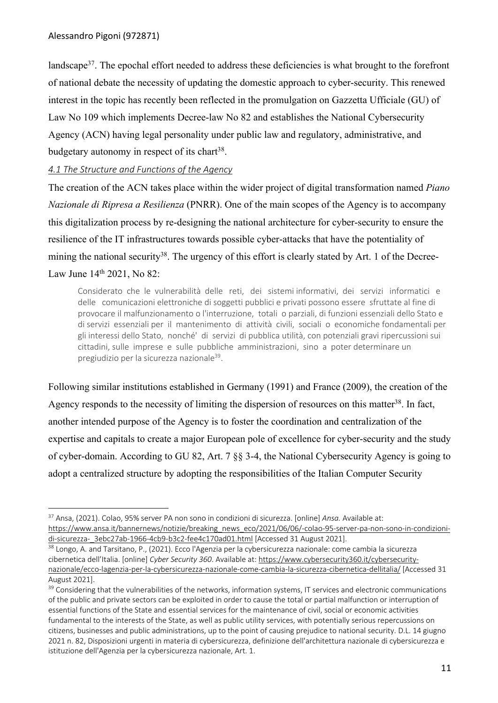landscape<sup>37</sup>. The epochal effort needed to address these deficiencies is what brought to the forefront of national debate the necessity of updating the domestic approach to cyber-security. This renewed interest in the topic has recently been reflected in the promulgation on Gazzetta Ufficiale (GU) of Law No 109 which implements Decree-law No 82 and establishes the National Cybersecurity Agency (ACN) having legal personality under public law and regulatory, administrative, and budgetary autonomy in respect of its chart<sup>38</sup>.

# *4.1 The Structure and Functions of the Agency*

The creation of the ACN takes place within the wider project of digital transformation named *Piano Nazionale di Ripresa a Resilienza* (PNRR). One of the main scopes of the Agency is to accompany this digitalization process by re-designing the national architecture for cyber-security to ensure the resilience of the IT infrastructures towards possible cyber-attacks that have the potentiality of mining the national security<sup>38</sup>. The urgency of this effort is clearly stated by Art. 1 of the Decree-Law June 14<sup>th</sup> 2021, No 82:

Considerato che le vulnerabilità delle reti, dei sistemi informativi, dei servizi informatici e delle comunicazioni elettroniche di soggetti pubblici e privati possono essere sfruttate al fine di provocare il malfunzionamento o l'interruzione, totali o parziali, di funzioni essenziali dello Stato e di servizi essenziali per il mantenimento di attività civili, sociali o economiche fondamentali per gli interessi dello Stato, nonché' di servizi di pubblica utilità, con potenziali gravi ripercussioni sui cittadini, sulle imprese e sulle pubbliche amministrazioni, sino a poter determinare un pregiudizio per la sicurezza nazionale<sup>39</sup>.

Following similar institutions established in Germany (1991) and France (2009), the creation of the Agency responds to the necessity of limiting the dispersion of resources on this matter<sup>38</sup>. In fact, another intended purpose of the Agency is to foster the coordination and centralization of the expertise and capitals to create a major European pole of excellence for cyber-security and the study of cyber-domain. According to GU 82, Art. 7 §§ 3-4, the National Cybersecurity Agency is going to adopt a centralized structure by adopting the responsibilities of the Italian Computer Security

<sup>37</sup> Ansa, (2021). Colao, 95% server PA non sono in condizioni di sicurezza. [online] *Ansa.* Available at: https://www.ansa.it/bannernews/notizie/breaking\_news\_eco/2021/06/06/-colao-95-server-pa-non-sono-in-condizionidi-sicurezza-\_3ebc27ab-1966-4cb9-b3c2-fee4c170ad01.html [Accessed 31 August 2021].

<sup>&</sup>lt;sup>38</sup> Longo, A. and Tarsitano, P., (2021). Ecco l'Agenzia per la cybersicurezza nazionale: come cambia la sicurezza cibernetica dell'Italia. [online] *Cyber Security 360*. Available at: https://www.cybersecurity360.it/cybersecuritynazionale/ecco-lagenzia-per-la-cybersicurezza-nazionale-come-cambia-la-sicurezza-cibernetica-dellitalia/ [Accessed 31 August 2021].

<sup>&</sup>lt;sup>39</sup> Considering that the vulnerabilities of the networks, information systems, IT services and electronic communications of the public and private sectors can be exploited in order to cause the total or partial malfunction or interruption of essential functions of the State and essential services for the maintenance of civil, social or economic activities fundamental to the interests of the State, as well as public utility services, with potentially serious repercussions on citizens, businesses and public administrations, up to the point of causing prejudice to national security. D.L. 14 giugno 2021 n. 82, Disposizioni urgenti in materia di cybersicurezza, definizione dell'architettura nazionale di cybersicurezza e istituzione dell'Agenzia per la cybersicurezza nazionale, Art. 1.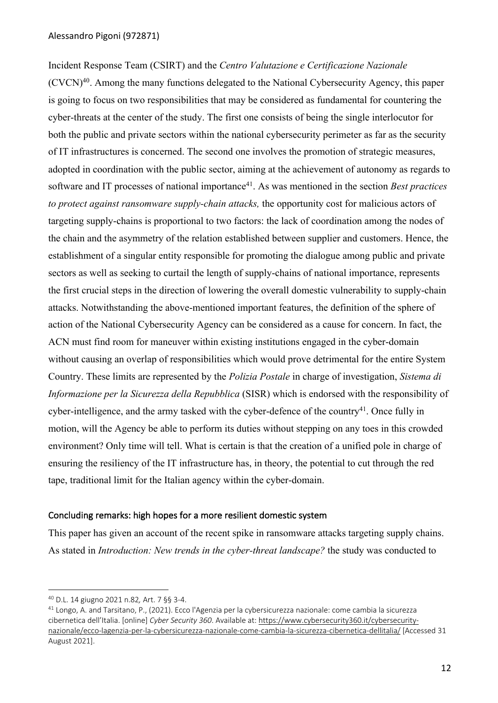Incident Response Team (CSIRT) and the *Centro Valutazione e Certificazione Nazionale*   $(CVCN)^{40}$ . Among the many functions delegated to the National Cybersecurity Agency, this paper is going to focus on two responsibilities that may be considered as fundamental for countering the cyber-threats at the center of the study. The first one consists of being the single interlocutor for both the public and private sectors within the national cybersecurity perimeter as far as the security of IT infrastructures is concerned. The second one involves the promotion of strategic measures, adopted in coordination with the public sector, aiming at the achievement of autonomy as regards to software and IT processes of national importance<sup>41</sup>. As was mentioned in the section *Best practices to protect against ransomware supply-chain attacks,* the opportunity cost for malicious actors of targeting supply-chains is proportional to two factors: the lack of coordination among the nodes of the chain and the asymmetry of the relation established between supplier and customers. Hence, the establishment of a singular entity responsible for promoting the dialogue among public and private sectors as well as seeking to curtail the length of supply-chains of national importance, represents the first crucial steps in the direction of lowering the overall domestic vulnerability to supply-chain attacks. Notwithstanding the above-mentioned important features, the definition of the sphere of action of the National Cybersecurity Agency can be considered as a cause for concern. In fact, the ACN must find room for maneuver within existing institutions engaged in the cyber-domain without causing an overlap of responsibilities which would prove detrimental for the entire System Country. These limits are represented by the *Polizia Postale* in charge of investigation, *Sistema di Informazione per la Sicurezza della Repubblica* (SISR) which is endorsed with the responsibility of cyber-intelligence, and the army tasked with the cyber-defence of the country<sup>41</sup>. Once fully in motion, will the Agency be able to perform its duties without stepping on any toes in this crowded environment? Only time will tell. What is certain is that the creation of a unified pole in charge of ensuring the resiliency of the IT infrastructure has, in theory, the potential to cut through the red tape, traditional limit for the Italian agency within the cyber-domain.

### Concluding remarks: high hopes for a more resilient domestic system

This paper has given an account of the recent spike in ransomware attacks targeting supply chains. As stated in *Introduction: New trends in the cyber-threat landscape?* the study was conducted to

<sup>&</sup>lt;sup>40</sup> D.L. 14 giugno 2021 n.82, Art. 7 §§ 3-4.<br><sup>41</sup> Longo, A. and Tarsitano, P., (2021). Ecco l'Agenzia per la cybersicurezza nazionale: come cambia la sicurezza cibernetica dell'Italia. [online] *Cyber Security 360*. Available at: https://www.cybersecurity360.it/cybersecuritynazionale/ecco-lagenzia-per-la-cybersicurezza-nazionale-come-cambia-la-sicurezza-cibernetica-dellitalia/ [Accessed 31 August 2021].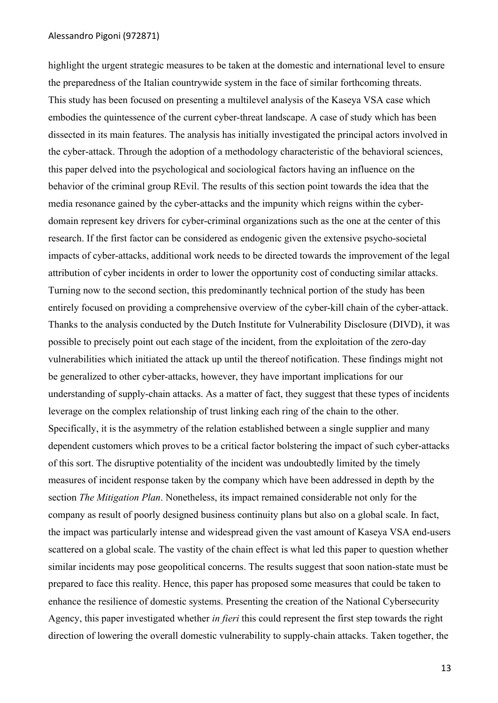### Alessandro Pigoni (972871)

highlight the urgent strategic measures to be taken at the domestic and international level to ensure the preparedness of the Italian countrywide system in the face of similar forthcoming threats. This study has been focused on presenting a multilevel analysis of the Kaseya VSA case which embodies the quintessence of the current cyber-threat landscape. A case of study which has been dissected in its main features. The analysis has initially investigated the principal actors involved in the cyber-attack. Through the adoption of a methodology characteristic of the behavioral sciences, this paper delved into the psychological and sociological factors having an influence on the behavior of the criminal group REvil. The results of this section point towards the idea that the media resonance gained by the cyber-attacks and the impunity which reigns within the cyberdomain represent key drivers for cyber-criminal organizations such as the one at the center of this research. If the first factor can be considered as endogenic given the extensive psycho-societal impacts of cyber-attacks, additional work needs to be directed towards the improvement of the legal attribution of cyber incidents in order to lower the opportunity cost of conducting similar attacks. Turning now to the second section, this predominantly technical portion of the study has been entirely focused on providing a comprehensive overview of the cyber-kill chain of the cyber-attack. Thanks to the analysis conducted by the Dutch Institute for Vulnerability Disclosure (DIVD), it was possible to precisely point out each stage of the incident, from the exploitation of the zero-day vulnerabilities which initiated the attack up until the thereof notification. These findings might not be generalized to other cyber-attacks, however, they have important implications for our understanding of supply-chain attacks. As a matter of fact, they suggest that these types of incidents leverage on the complex relationship of trust linking each ring of the chain to the other. Specifically, it is the asymmetry of the relation established between a single supplier and many dependent customers which proves to be a critical factor bolstering the impact of such cyber-attacks of this sort. The disruptive potentiality of the incident was undoubtedly limited by the timely measures of incident response taken by the company which have been addressed in depth by the section *The Mitigation Plan*. Nonetheless, its impact remained considerable not only for the company as result of poorly designed business continuity plans but also on a global scale. In fact, the impact was particularly intense and widespread given the vast amount of Kaseya VSA end-users scattered on a global scale. The vastity of the chain effect is what led this paper to question whether similar incidents may pose geopolitical concerns. The results suggest that soon nation-state must be prepared to face this reality. Hence, this paper has proposed some measures that could be taken to enhance the resilience of domestic systems. Presenting the creation of the National Cybersecurity Agency, this paper investigated whether *in fieri* this could represent the first step towards the right direction of lowering the overall domestic vulnerability to supply-chain attacks. Taken together, the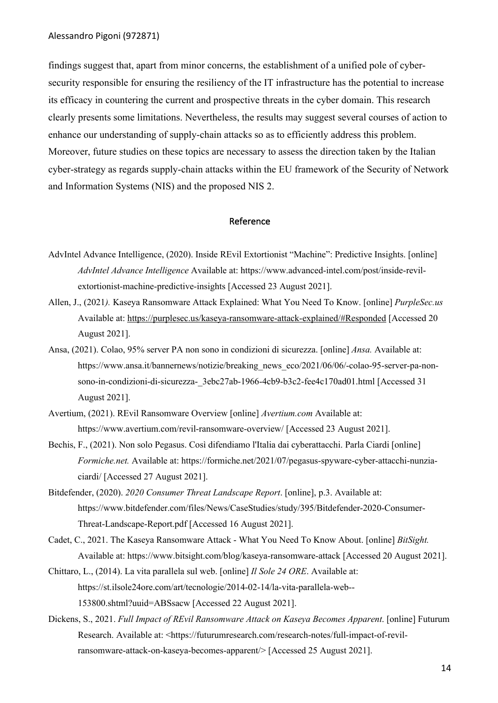findings suggest that, apart from minor concerns, the establishment of a unified pole of cybersecurity responsible for ensuring the resiliency of the IT infrastructure has the potential to increase its efficacy in countering the current and prospective threats in the cyber domain. This research clearly presents some limitations. Nevertheless, the results may suggest several courses of action to enhance our understanding of supply-chain attacks so as to efficiently address this problem. Moreover, future studies on these topics are necessary to assess the direction taken by the Italian cyber-strategy as regards supply-chain attacks within the EU framework of the Security of Network and Information Systems (NIS) and the proposed NIS 2.

### Reference

- AdvIntel Advance Intelligence, (2020). Inside REvil Extortionist "Machine": Predictive Insights. [online] *AdvIntel Advance Intelligence* Available at: https://www.advanced-intel.com/post/inside-revilextortionist-machine-predictive-insights [Accessed 23 August 2021].
- Allen, J., (2021*).* Kaseya Ransomware Attack Explained: What You Need To Know. [online] *PurpleSec.us* Available at: https://purplesec.us/kaseya-ransomware-attack-explained/#Responded [Accessed 20 August 2021].
- Ansa, (2021). Colao, 95% server PA non sono in condizioni di sicurezza. [online] *Ansa.* Available at: https://www.ansa.it/bannernews/notizie/breaking\_news\_eco/2021/06/06/-colao-95-server-pa-nonsono-in-condizioni-di-sicurezza-\_3ebc27ab-1966-4cb9-b3c2-fee4c170ad01.html [Accessed 31 August 2021].
- Avertium, (2021). REvil Ransomware Overview [online] *Avertium.com* Available at: https://www.avertium.com/revil-ransomware-overview/ [Accessed 23 August 2021].
- Bechis, F., (2021). Non solo Pegasus. Così difendiamo l'Italia dai cyberattacchi. Parla Ciardi [online] *Formiche.net.* Available at: https://formiche.net/2021/07/pegasus-spyware-cyber-attacchi-nunziaciardi/ [Accessed 27 August 2021].
- Bitdefender, (2020). *2020 Consumer Threat Landscape Report*. [online], p.3. Available at: https://www.bitdefender.com/files/News/CaseStudies/study/395/Bitdefender-2020-Consumer-Threat-Landscape-Report.pdf [Accessed 16 August 2021].
- Cadet, C., 2021. The Kaseya Ransomware Attack What You Need To Know About. [online] *BitSight.* Available at: https://www.bitsight.com/blog/kaseya-ransomware-attack [Accessed 20 August 2021].
- Chittaro, L., (2014). La vita parallela sul web. [online] *Il Sole 24 ORE*. Available at: https://st.ilsole24ore.com/art/tecnologie/2014-02-14/la-vita-parallela-web-- 153800.shtml?uuid=ABSsacw [Accessed 22 August 2021].
- Dickens, S., 2021. *Full Impact of REvil Ransomware Attack on Kaseya Becomes Apparent*. [online] Futurum Research. Available at: <https://futurumresearch.com/research-notes/full-impact-of-revilransomware-attack-on-kaseya-becomes-apparent/> [Accessed 25 August 2021].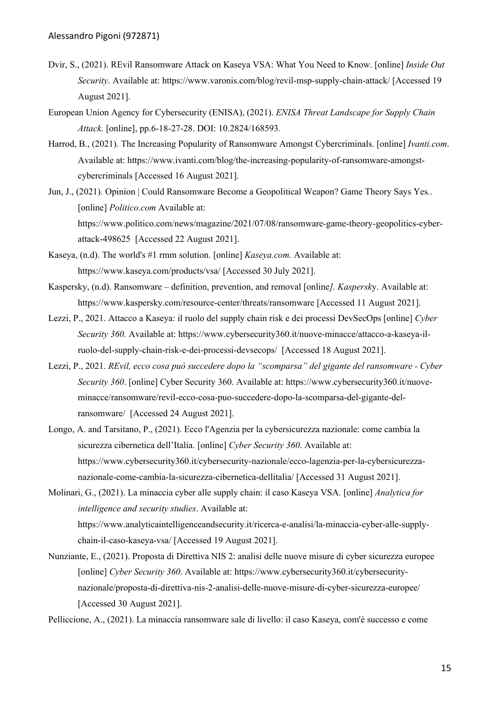- Dvir, S., (2021). REvil Ransomware Attack on Kaseya VSA: What You Need to Know. [online] *Inside Out Security*. Available at: https://www.varonis.com/blog/revil-msp-supply-chain-attack/ [Accessed 19 August 2021].
- European Union Agency for Cybersecurity (ENISA), (2021). *ENISA Threat Landscape for Supply Chain Attack.* [online], pp.6-18-27-28. DOI: 10.2824/168593*.*
- Harrod, B., (2021). The Increasing Popularity of Ransomware Amongst Cybercriminals. [online] *Ivanti.com*. Available at: https://www.ivanti.com/blog/the-increasing-popularity-of-ransomware-amongstcybercriminals [Accessed 16 August 2021].
- Jun, J., (2021). Opinion | Could Ransomware Become a Geopolitical Weapon? Game Theory Says Yes*.*. [online] *Politico.com* Available at: https://www.politico.com/news/magazine/2021/07/08/ransomware-game-theory-geopolitics-cyberattack-498625 [Accessed 22 August 2021].
- Kaseya, (n.d). The world's #1 rmm solution. [online] *Kaseya.com.* Available at: https://www.kaseya.com/products/vsa/ [Accessed 30 July 2021].
- Kaspersky, (n.d). Ransomware definition, prevention, and removal [online*]. Kaspersk*y. Available at: https://www.kaspersky.com/resource-center/threats/ransomware [Accessed 11 August 2021].
- Lezzi, P., 2021. Attacco a Kaseya: il ruolo del supply chain risk e dei processi DevSecOps [online] *Cyber Security 360.* Available at: https://www.cybersecurity360.it/nuove-minacce/attacco-a-kaseya-ilruolo-del-supply-chain-risk-e-dei-processi-devsecops/ [Accessed 18 August 2021].
- Lezzi, P., 2021. *REvil, ecco cosa può succedere dopo la "scomparsa" del gigante del ransomware - Cyber Security 360*. [online] Cyber Security 360. Available at: https://www.cybersecurity360.it/nuoveminacce/ransomware/revil-ecco-cosa-puo-succedere-dopo-la-scomparsa-del-gigante-delransomware/ [Accessed 24 August 2021].
- Longo, A. and Tarsitano, P., (2021). Ecco l'Agenzia per la cybersicurezza nazionale: come cambia la sicurezza cibernetica dell'Italia. [online] *Cyber Security 360*. Available at: https://www.cybersecurity360.it/cybersecurity-nazionale/ecco-lagenzia-per-la-cybersicurezzanazionale-come-cambia-la-sicurezza-cibernetica-dellitalia/ [Accessed 31 August 2021].

Molinari, G., (2021). La minaccia cyber alle supply chain: il caso Kaseya VSA*.* [online] *Analytica for intelligence and security studies*. Available at: https://www.analyticaintelligenceandsecurity.it/ricerca-e-analisi/la-minaccia-cyber-alle-supplychain-il-caso-kaseya-vsa/ [Accessed 19 August 2021].

Nunziante, E., (2021). Proposta di Direttiva NIS 2: analisi delle nuove misure di cyber sicurezza europee [online] *Cyber Security 360*. Available at: https://www.cybersecurity360.it/cybersecuritynazionale/proposta-di-direttiva-nis-2-analisi-delle-nuove-misure-di-cyber-sicurezza-europee/ [Accessed 30 August 2021].

Pelliccione, A., (2021). La minaccia ransomware sale di livello: il caso Kaseya, com'è successo e come